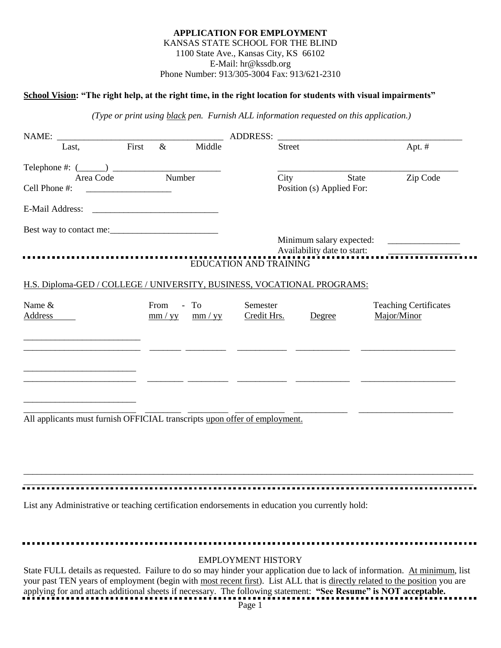## **APPLICATION FOR EMPLOYMENT** KANSAS STATE SCHOOL FOR THE BLIND 1100 State Ave., Kansas City, KS 66102 E-Mail: hr@kssdb.org Phone Number: 913/305-3004 Fax: 913/621-2310

## **School Vision: "The right help, at the right time, in the right location for students with visual impairments"**

*(Type or print using black pen. Furnish ALL information requested on this application.)*

|                                                                            |       |                              |                           | <b>ADDRESS:</b>               |               |                                           |                                             |
|----------------------------------------------------------------------------|-------|------------------------------|---------------------------|-------------------------------|---------------|-------------------------------------------|---------------------------------------------|
| Last,                                                                      | First | $\&$                         | Middle                    |                               | <b>Street</b> |                                           | Apt. #                                      |
| Telephone #: $(\_\_)$ $\_\_$                                               |       |                              |                           |                               |               |                                           |                                             |
| Area Code<br>Cell Phone #:                                                 |       | Number                       |                           |                               | City          | <b>State</b><br>Position (s) Applied For: | Zip Code                                    |
|                                                                            |       |                              |                           |                               |               |                                           |                                             |
|                                                                            |       |                              |                           |                               |               |                                           |                                             |
|                                                                            |       |                              |                           |                               |               |                                           |                                             |
|                                                                            |       |                              |                           | <b>EDUCATION AND TRAINING</b> |               |                                           |                                             |
| H.S. Diploma-GED / COLLEGE / UNIVERSITY, BUSINESS, VOCATIONAL PROGRAMS:    |       |                              |                           |                               |               |                                           |                                             |
| Name $&$<br>Address                                                        |       | From<br>$\frac{mm / yy}{mm}$ | $-$ To<br>$\frac{mm}{yy}$ | Semester<br>Credit Hrs.       |               | Degree                                    | <b>Teaching Certificates</b><br>Major/Minor |
|                                                                            |       |                              |                           |                               |               |                                           |                                             |
|                                                                            |       |                              |                           |                               |               |                                           |                                             |
|                                                                            |       |                              |                           |                               |               |                                           |                                             |
|                                                                            |       |                              |                           |                               |               |                                           |                                             |
| All applicants must furnish OFFICIAL transcripts upon offer of employment. |       |                              |                           |                               |               |                                           |                                             |

List any Administrative or teaching certification endorsements in education you currently hold:

| <b>EMPLOYMENT HISTORY</b>                                                                                                   |
|-----------------------------------------------------------------------------------------------------------------------------|
| State FULL details as requested. Failure to do so may hinder your application due to lack of information. At minimum, list  |
| your past TEN years of employment (begin with most recent first). List ALL that is directly related to the position you are |
| applying for and attach additional sheets if necessary. The following statement: "See Resume" is NOT acceptable.            |
| Page 1                                                                                                                      |
|                                                                                                                             |

\_\_\_\_\_\_\_\_\_\_\_\_\_\_\_\_\_\_\_\_\_\_\_\_\_\_\_\_\_\_\_\_\_\_\_\_\_\_\_\_\_\_\_\_\_\_\_\_\_\_\_\_\_\_\_\_\_\_\_\_\_\_\_\_\_\_\_\_\_\_\_\_\_\_\_\_\_\_\_\_\_\_\_\_\_\_\_\_\_\_\_\_\_\_\_\_\_\_\_\_ \_\_\_\_\_\_\_\_\_\_\_\_\_\_\_\_\_\_\_\_\_\_\_\_\_\_\_\_\_\_\_\_\_\_\_\_\_\_\_\_\_\_\_\_\_\_\_\_\_\_\_\_\_\_\_\_\_\_\_\_\_\_\_\_\_\_\_\_\_\_\_\_\_\_\_\_\_\_\_\_\_\_\_\_\_\_\_\_\_\_\_\_\_\_\_\_\_\_\_\_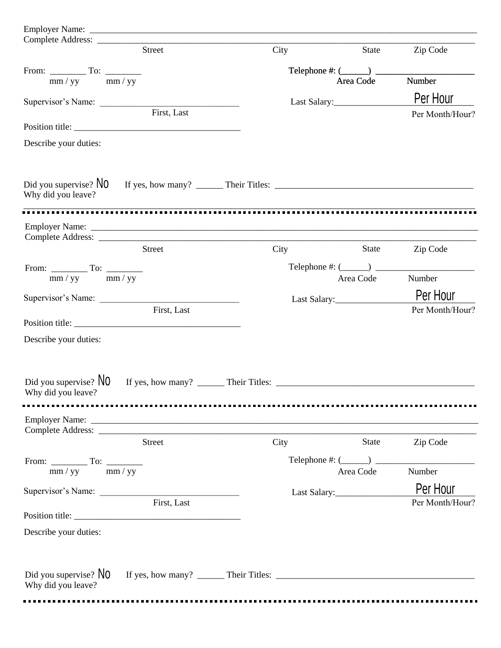| <b>Street</b><br>City<br>Zip Code<br>State<br>Telephone #: $(\_\_)$<br>$mm / yy$ mm/yy<br>Number<br>Area Code<br>Per Hour<br>Last Salary:<br>Supervisor's Name:<br>First, Last<br>Describe your duties:<br>Did you supervise? $No$<br>Why did you leave?<br>City<br>State<br><b>Street</b><br>Zip Code<br>Telephone #: $(\_\_)$<br>From: $\frac{1}{mm / yy}$ To: $\frac{1}{mm / yy}$<br>Number<br>Area Code<br>Per Hour<br>Supervisor's Name:<br>Last Salary:<br>First, Last<br>Describe your duties:<br>Did you supervise? $NO$<br>Why did you leave?<br>Street<br>City<br>State<br>Zip Code<br>Telephone #: $(\_\_)$ $\_\_$<br>From: $\frac{1}{\text{mm}/yy}$ To: $\frac{1}{\text{mm}/yy}$<br>Number<br>Area Code<br>Per Hour<br>First, Last<br>Describe your duties:<br>Did you supervise? $No$<br>Why did you leave? |  |                 |
|--------------------------------------------------------------------------------------------------------------------------------------------------------------------------------------------------------------------------------------------------------------------------------------------------------------------------------------------------------------------------------------------------------------------------------------------------------------------------------------------------------------------------------------------------------------------------------------------------------------------------------------------------------------------------------------------------------------------------------------------------------------------------------------------------------------------------|--|-----------------|
|                                                                                                                                                                                                                                                                                                                                                                                                                                                                                                                                                                                                                                                                                                                                                                                                                          |  |                 |
|                                                                                                                                                                                                                                                                                                                                                                                                                                                                                                                                                                                                                                                                                                                                                                                                                          |  |                 |
|                                                                                                                                                                                                                                                                                                                                                                                                                                                                                                                                                                                                                                                                                                                                                                                                                          |  |                 |
|                                                                                                                                                                                                                                                                                                                                                                                                                                                                                                                                                                                                                                                                                                                                                                                                                          |  |                 |
|                                                                                                                                                                                                                                                                                                                                                                                                                                                                                                                                                                                                                                                                                                                                                                                                                          |  | Per Month/Hour? |
|                                                                                                                                                                                                                                                                                                                                                                                                                                                                                                                                                                                                                                                                                                                                                                                                                          |  |                 |
|                                                                                                                                                                                                                                                                                                                                                                                                                                                                                                                                                                                                                                                                                                                                                                                                                          |  |                 |
|                                                                                                                                                                                                                                                                                                                                                                                                                                                                                                                                                                                                                                                                                                                                                                                                                          |  |                 |
|                                                                                                                                                                                                                                                                                                                                                                                                                                                                                                                                                                                                                                                                                                                                                                                                                          |  |                 |
|                                                                                                                                                                                                                                                                                                                                                                                                                                                                                                                                                                                                                                                                                                                                                                                                                          |  |                 |
|                                                                                                                                                                                                                                                                                                                                                                                                                                                                                                                                                                                                                                                                                                                                                                                                                          |  |                 |
|                                                                                                                                                                                                                                                                                                                                                                                                                                                                                                                                                                                                                                                                                                                                                                                                                          |  |                 |
|                                                                                                                                                                                                                                                                                                                                                                                                                                                                                                                                                                                                                                                                                                                                                                                                                          |  |                 |
|                                                                                                                                                                                                                                                                                                                                                                                                                                                                                                                                                                                                                                                                                                                                                                                                                          |  |                 |
|                                                                                                                                                                                                                                                                                                                                                                                                                                                                                                                                                                                                                                                                                                                                                                                                                          |  | Per Month/Hour? |
|                                                                                                                                                                                                                                                                                                                                                                                                                                                                                                                                                                                                                                                                                                                                                                                                                          |  |                 |
|                                                                                                                                                                                                                                                                                                                                                                                                                                                                                                                                                                                                                                                                                                                                                                                                                          |  |                 |
|                                                                                                                                                                                                                                                                                                                                                                                                                                                                                                                                                                                                                                                                                                                                                                                                                          |  |                 |
|                                                                                                                                                                                                                                                                                                                                                                                                                                                                                                                                                                                                                                                                                                                                                                                                                          |  |                 |
|                                                                                                                                                                                                                                                                                                                                                                                                                                                                                                                                                                                                                                                                                                                                                                                                                          |  |                 |
|                                                                                                                                                                                                                                                                                                                                                                                                                                                                                                                                                                                                                                                                                                                                                                                                                          |  |                 |
|                                                                                                                                                                                                                                                                                                                                                                                                                                                                                                                                                                                                                                                                                                                                                                                                                          |  |                 |
|                                                                                                                                                                                                                                                                                                                                                                                                                                                                                                                                                                                                                                                                                                                                                                                                                          |  |                 |
|                                                                                                                                                                                                                                                                                                                                                                                                                                                                                                                                                                                                                                                                                                                                                                                                                          |  |                 |
|                                                                                                                                                                                                                                                                                                                                                                                                                                                                                                                                                                                                                                                                                                                                                                                                                          |  | Per Month/Hour? |
|                                                                                                                                                                                                                                                                                                                                                                                                                                                                                                                                                                                                                                                                                                                                                                                                                          |  |                 |
|                                                                                                                                                                                                                                                                                                                                                                                                                                                                                                                                                                                                                                                                                                                                                                                                                          |  |                 |
|                                                                                                                                                                                                                                                                                                                                                                                                                                                                                                                                                                                                                                                                                                                                                                                                                          |  |                 |
|                                                                                                                                                                                                                                                                                                                                                                                                                                                                                                                                                                                                                                                                                                                                                                                                                          |  |                 |
|                                                                                                                                                                                                                                                                                                                                                                                                                                                                                                                                                                                                                                                                                                                                                                                                                          |  |                 |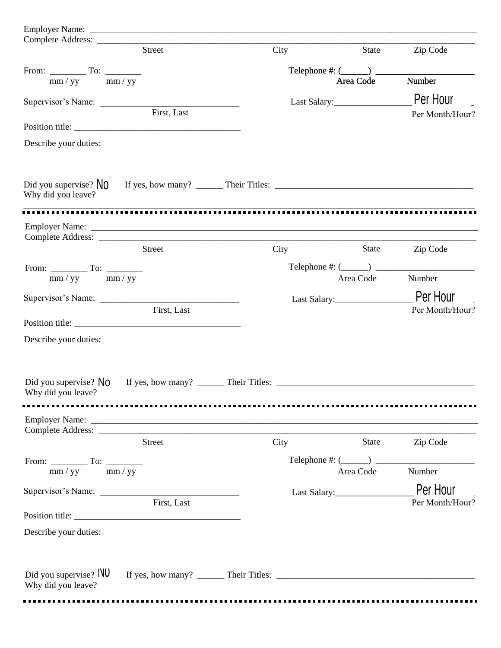| <b>Street</b>                                                                                                                                                                                                                  | City | State                                    | Zip Code        |
|--------------------------------------------------------------------------------------------------------------------------------------------------------------------------------------------------------------------------------|------|------------------------------------------|-----------------|
|                                                                                                                                                                                                                                |      | Telephone #: $(\_\_)$ $\_\_$             |                 |
| $mm / yy$ mm/yy                                                                                                                                                                                                                |      | Area Code                                | Number          |
| Supervisor's Name:                                                                                                                                                                                                             |      |                                          | Per Hour        |
| First, Last                                                                                                                                                                                                                    |      |                                          | Per Month/Hour? |
| Position title:                                                                                                                                                                                                                |      |                                          |                 |
| Describe your duties:                                                                                                                                                                                                          |      |                                          |                 |
| Did you supervise? $N_0$<br>Why did you leave?                                                                                                                                                                                 |      |                                          |                 |
|                                                                                                                                                                                                                                |      |                                          |                 |
|                                                                                                                                                                                                                                |      |                                          |                 |
| <b>Street</b>                                                                                                                                                                                                                  | City | State                                    | Zip Code        |
|                                                                                                                                                                                                                                |      | Telephone #: $(\_\_\_\_\_)$ $\_\_\_\_\_$ |                 |
| $mm / yy$ mm/yy                                                                                                                                                                                                                |      | Area Code                                | Number          |
|                                                                                                                                                                                                                                |      | Last Salary:                             | Per Hour        |
| First, Last                                                                                                                                                                                                                    |      |                                          | Per Month/Hour? |
| Position title:                                                                                                                                                                                                                |      |                                          |                 |
| Describe your duties:                                                                                                                                                                                                          |      |                                          |                 |
|                                                                                                                                                                                                                                |      |                                          |                 |
| Did you supervise? $No$<br>Why did you leave?                                                                                                                                                                                  |      |                                          |                 |
|                                                                                                                                                                                                                                |      |                                          |                 |
| Employer Name: Name: Name: Name: Name: Name: Name: Name: Name: Name: Name: Name: Name: Name: Name: Name: Name: Name: Name: Name: Name: Name: Name: Name: Name: Name: Name: Name: Name: Name: Name: Name: Name: Name: Name: Nam |      |                                          |                 |
| Complete Address:<br><b>Street</b>                                                                                                                                                                                             | City | <b>State</b>                             | Zip Code        |
|                                                                                                                                                                                                                                |      |                                          |                 |
| From: $\frac{1}{mm / yy}$ To: $\frac{1}{mm / yy}$                                                                                                                                                                              |      | Telephone #: $(\_\_\_\_\_)$<br>Area Code | Number          |
|                                                                                                                                                                                                                                |      |                                          | Per Hour        |
| Supervisor's Name:<br>First, Last                                                                                                                                                                                              |      |                                          | Per Month/Hour? |
| Position title:                                                                                                                                                                                                                |      |                                          |                 |
| Describe your duties:                                                                                                                                                                                                          |      |                                          |                 |
| Did you supervise? NO<br>Why did you leave?                                                                                                                                                                                    |      |                                          |                 |
|                                                                                                                                                                                                                                |      |                                          |                 |